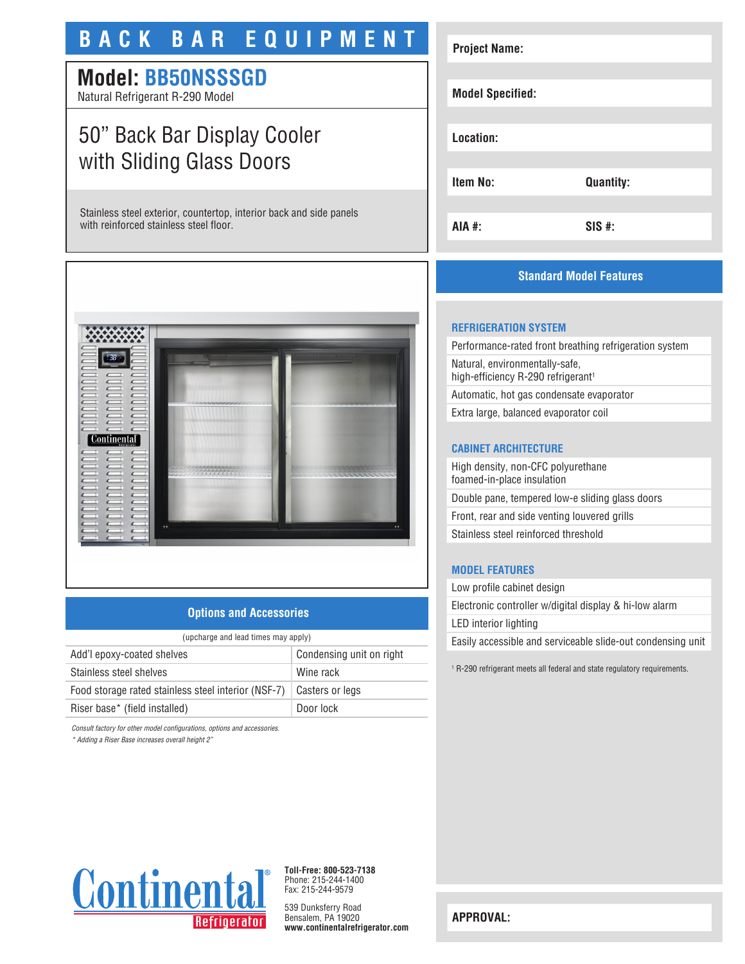# **BACK BAR EQUIPMENT**

# **Model: BB50NSSSGD**

Natural Refrigerant R-290 Model

# 50" Back Bar Display Cooler with Sliding Glass Doors

Stainless steel exterior, countertop, interior back and side panels with reinforced stainless steel floor.



## **Options and Accessories**

| (upcharge and lead times may apply)                 |                          |  |
|-----------------------------------------------------|--------------------------|--|
| Add'l epoxy-coated shelves                          | Condensing unit on right |  |
| Stainless steel shelves                             | Wine rack                |  |
| Food storage rated stainless steel interior (NSF-7) | Casters or legs          |  |
| Riser base* (field installed)                       | Door lock                |  |

*Consult factory for other model configurations, options and accessories.*

*\* Adding a Riser Base increases overall height 2"*

# **Project Name: Model Specified: Location: Item No: Quantity: AIA #: SIS #:**

## **Standard Model Features**

## **REFRIGERATION SYSTEM**

Performance-rated front breathing refrigeration system Natural, environmentally-safe, high-efficiency R-290 refrigerant<sup>1</sup> Automatic, hot gas condensate evaporator

Extra large, balanced evaporator coil

#### **CABINET ARCHITECTURE**

High density, non-CFC polyurethane foamed-in-place insulation Double pane, tempered low-e sliding glass doors Front, rear and side venting louvered grills Stainless steel reinforced threshold

#### **MODEL FEATURES**

Low profile cabinet design Electronic controller w/digital display & hi-low alarm LED interior lighting Easily accessible and serviceable slide-out condensing unit

1 R-290 refrigerant meets all federal and state regulatory requirements.



**Toll-Free: 800-523-7138** Phone: 215-244-1400 Fax: 215-244-9579

539 Dunksferry Road Bensalem, PA 19020 **www.continentalrefrigerator.com** 

**APPROVAL:**